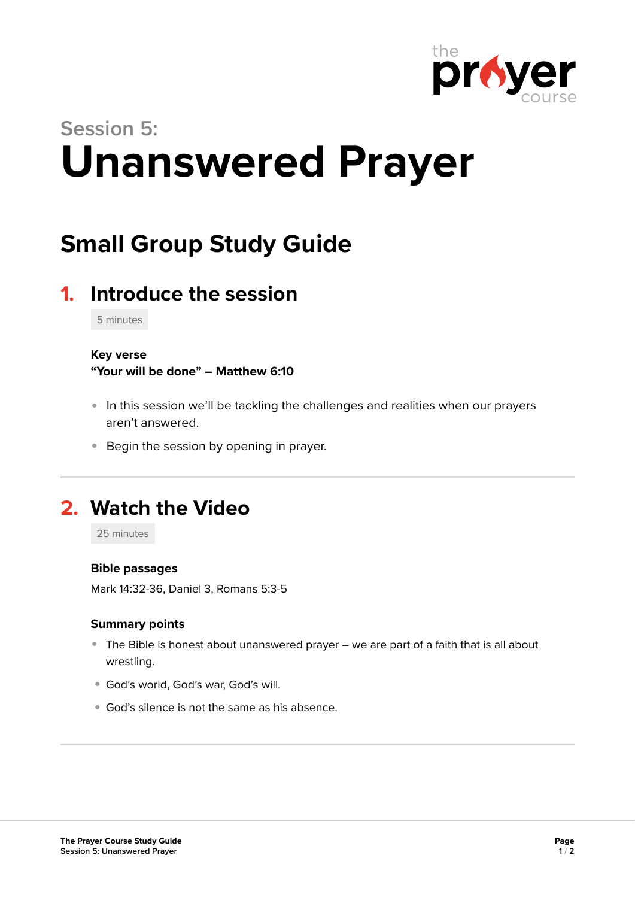

# **Session 5: Unanswered Prayer**

## **Small Group Study Guide**

## **1. Introduce the session**

5 minutes

#### **Key verse**

**"Your will be done" – Matthew 6:10** 

- In this session we'll be tackling the challenges and realities when our prayers aren't answered.
- **Begin the session by opening in prayer.**

## **2. Watch the Video**

25 minutes

#### **Bible passages**

Mark 14:32-36, Daniel 3, Romans 5:3-5

#### **Summary points**

- The Bible is honest about unanswered prayer we are part of a faith that is all about wrestling.
- God's world, God's war, God's will.
- God's silence is not the same as his absence.